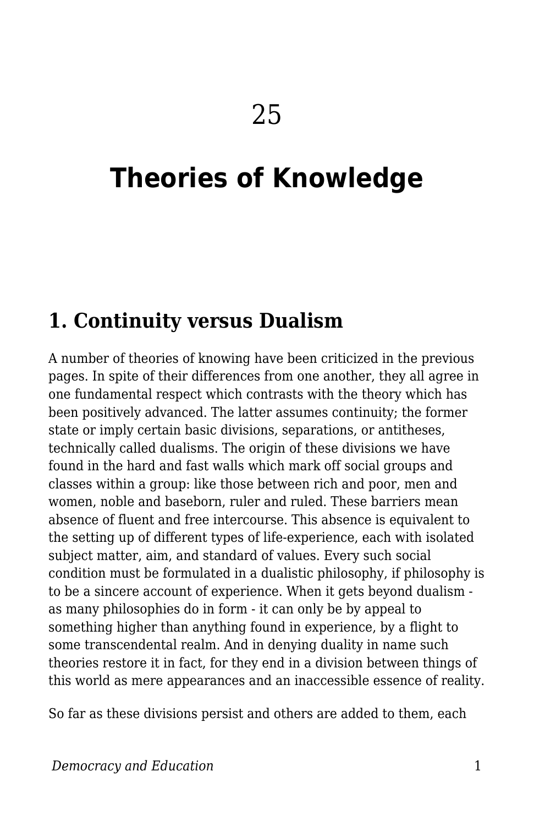## **Theories of Knowledge**

## **1. Continuity versus Dualism**

A number of theories of knowing have been criticized in the previous pages. In spite of their differences from one another, they all agree in one fundamental respect which contrasts with the theory which has been positively advanced. The latter assumes continuity; the former state or imply certain basic divisions, separations, or antitheses, technically called dualisms. The origin of these divisions we have found in the hard and fast walls which mark off social groups and classes within a group: like those between rich and poor, men and women, noble and baseborn, ruler and ruled. These barriers mean absence of fluent and free intercourse. This absence is equivalent to the setting up of different types of life-experience, each with isolated subject matter, aim, and standard of values. Every such social condition must be formulated in a dualistic philosophy, if philosophy is to be a sincere account of experience. When it gets beyond dualism as many philosophies do in form - it can only be by appeal to something higher than anything found in experience, by a flight to some transcendental realm. And in denying duality in name such theories restore it in fact, for they end in a division between things of this world as mere appearances and an inaccessible essence of reality.

So far as these divisions persist and others are added to them, each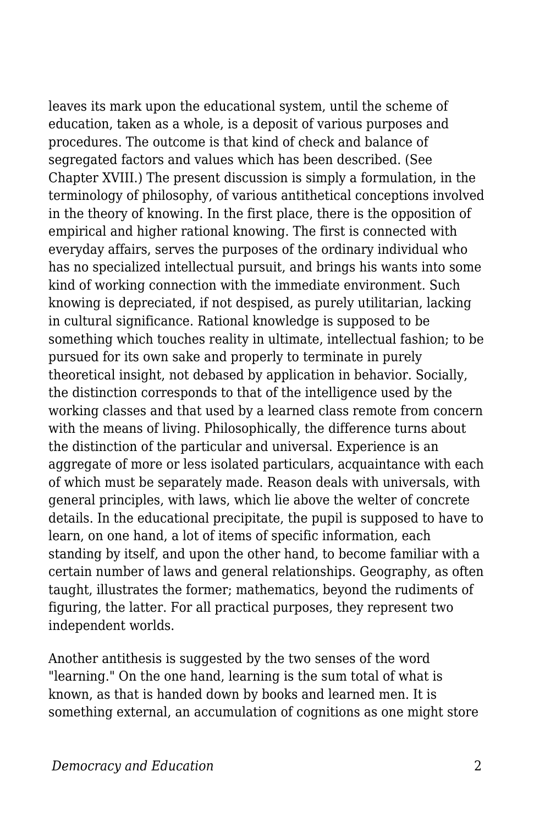leaves its mark upon the educational system, until the scheme of education, taken as a whole, is a deposit of various purposes and procedures. The outcome is that kind of check and balance of segregated factors and values which has been described. (See Chapter XVIII.) The present discussion is simply a formulation, in the terminology of philosophy, of various antithetical conceptions involved in the theory of knowing. In the first place, there is the opposition of empirical and higher rational knowing. The first is connected with everyday affairs, serves the purposes of the ordinary individual who has no specialized intellectual pursuit, and brings his wants into some kind of working connection with the immediate environment. Such knowing is depreciated, if not despised, as purely utilitarian, lacking in cultural significance. Rational knowledge is supposed to be something which touches reality in ultimate, intellectual fashion; to be pursued for its own sake and properly to terminate in purely theoretical insight, not debased by application in behavior. Socially, the distinction corresponds to that of the intelligence used by the working classes and that used by a learned class remote from concern with the means of living. Philosophically, the difference turns about the distinction of the particular and universal. Experience is an aggregate of more or less isolated particulars, acquaintance with each of which must be separately made. Reason deals with universals, with general principles, with laws, which lie above the welter of concrete details. In the educational precipitate, the pupil is supposed to have to learn, on one hand, a lot of items of specific information, each standing by itself, and upon the other hand, to become familiar with a certain number of laws and general relationships. Geography, as often taught, illustrates the former; mathematics, beyond the rudiments of figuring, the latter. For all practical purposes, they represent two independent worlds.

Another antithesis is suggested by the two senses of the word "learning." On the one hand, learning is the sum total of what is known, as that is handed down by books and learned men. It is something external, an accumulation of cognitions as one might store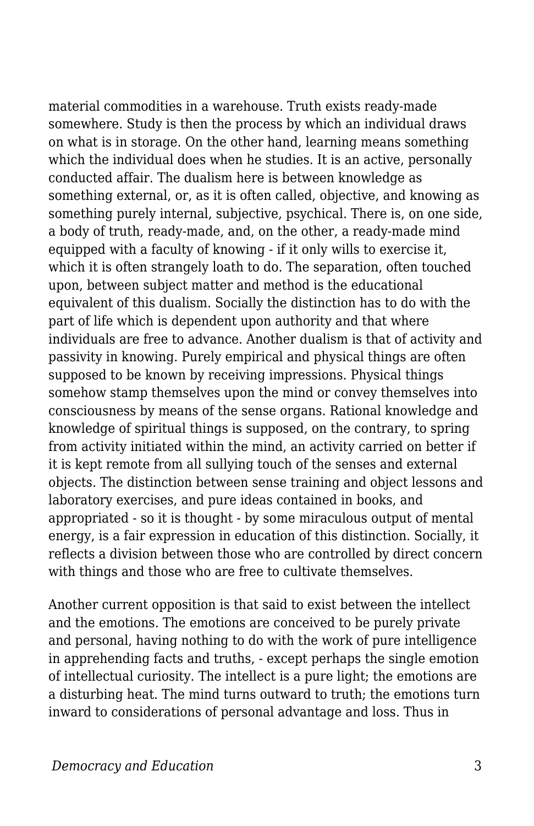material commodities in a warehouse. Truth exists ready-made somewhere. Study is then the process by which an individual draws on what is in storage. On the other hand, learning means something which the individual does when he studies. It is an active, personally conducted affair. The dualism here is between knowledge as something external, or, as it is often called, objective, and knowing as something purely internal, subjective, psychical. There is, on one side, a body of truth, ready-made, and, on the other, a ready-made mind equipped with a faculty of knowing - if it only wills to exercise it, which it is often strangely loath to do. The separation, often touched upon, between subject matter and method is the educational equivalent of this dualism. Socially the distinction has to do with the part of life which is dependent upon authority and that where individuals are free to advance. Another dualism is that of activity and passivity in knowing. Purely empirical and physical things are often supposed to be known by receiving impressions. Physical things somehow stamp themselves upon the mind or convey themselves into consciousness by means of the sense organs. Rational knowledge and knowledge of spiritual things is supposed, on the contrary, to spring from activity initiated within the mind, an activity carried on better if it is kept remote from all sullying touch of the senses and external objects. The distinction between sense training and object lessons and laboratory exercises, and pure ideas contained in books, and appropriated - so it is thought - by some miraculous output of mental energy, is a fair expression in education of this distinction. Socially, it reflects a division between those who are controlled by direct concern with things and those who are free to cultivate themselves.

Another current opposition is that said to exist between the intellect and the emotions. The emotions are conceived to be purely private and personal, having nothing to do with the work of pure intelligence in apprehending facts and truths, - except perhaps the single emotion of intellectual curiosity. The intellect is a pure light; the emotions are a disturbing heat. The mind turns outward to truth; the emotions turn inward to considerations of personal advantage and loss. Thus in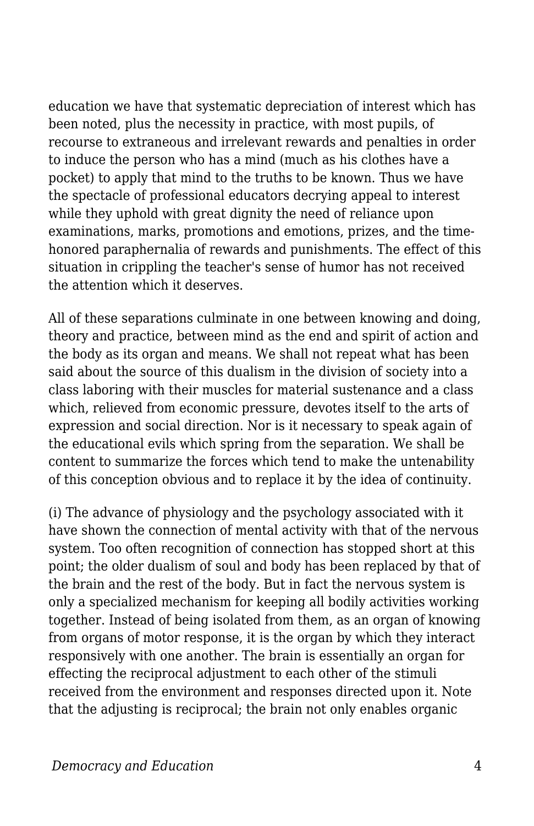education we have that systematic depreciation of interest which has been noted, plus the necessity in practice, with most pupils, of recourse to extraneous and irrelevant rewards and penalties in order to induce the person who has a mind (much as his clothes have a pocket) to apply that mind to the truths to be known. Thus we have the spectacle of professional educators decrying appeal to interest while they uphold with great dignity the need of reliance upon examinations, marks, promotions and emotions, prizes, and the timehonored paraphernalia of rewards and punishments. The effect of this situation in crippling the teacher's sense of humor has not received the attention which it deserves.

All of these separations culminate in one between knowing and doing, theory and practice, between mind as the end and spirit of action and the body as its organ and means. We shall not repeat what has been said about the source of this dualism in the division of society into a class laboring with their muscles for material sustenance and a class which, relieved from economic pressure, devotes itself to the arts of expression and social direction. Nor is it necessary to speak again of the educational evils which spring from the separation. We shall be content to summarize the forces which tend to make the untenability of this conception obvious and to replace it by the idea of continuity.

(i) The advance of physiology and the psychology associated with it have shown the connection of mental activity with that of the nervous system. Too often recognition of connection has stopped short at this point; the older dualism of soul and body has been replaced by that of the brain and the rest of the body. But in fact the nervous system is only a specialized mechanism for keeping all bodily activities working together. Instead of being isolated from them, as an organ of knowing from organs of motor response, it is the organ by which they interact responsively with one another. The brain is essentially an organ for effecting the reciprocal adjustment to each other of the stimuli received from the environment and responses directed upon it. Note that the adjusting is reciprocal; the brain not only enables organic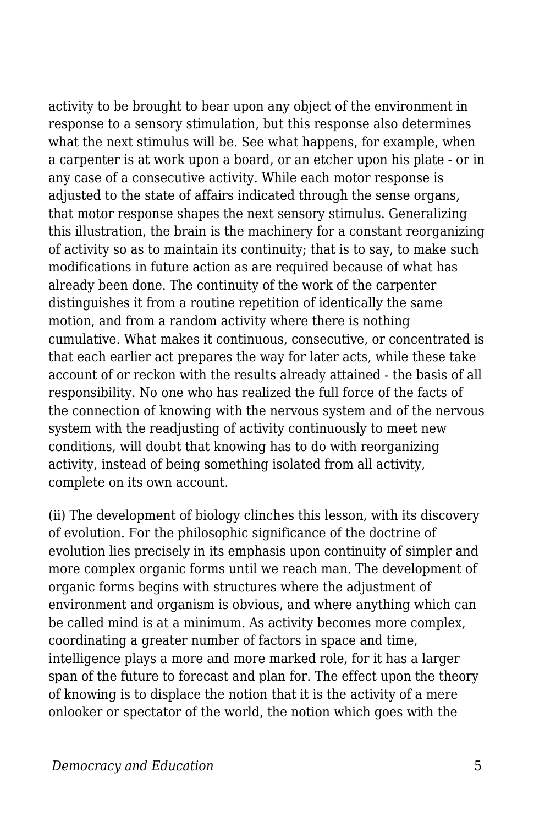activity to be brought to bear upon any object of the environment in response to a sensory stimulation, but this response also determines what the next stimulus will be. See what happens, for example, when a carpenter is at work upon a board, or an etcher upon his plate - or in any case of a consecutive activity. While each motor response is adjusted to the state of affairs indicated through the sense organs, that motor response shapes the next sensory stimulus. Generalizing this illustration, the brain is the machinery for a constant reorganizing of activity so as to maintain its continuity; that is to say, to make such modifications in future action as are required because of what has already been done. The continuity of the work of the carpenter distinguishes it from a routine repetition of identically the same motion, and from a random activity where there is nothing cumulative. What makes it continuous, consecutive, or concentrated is that each earlier act prepares the way for later acts, while these take account of or reckon with the results already attained - the basis of all responsibility. No one who has realized the full force of the facts of the connection of knowing with the nervous system and of the nervous system with the readjusting of activity continuously to meet new conditions, will doubt that knowing has to do with reorganizing activity, instead of being something isolated from all activity, complete on its own account.

(ii) The development of biology clinches this lesson, with its discovery of evolution. For the philosophic significance of the doctrine of evolution lies precisely in its emphasis upon continuity of simpler and more complex organic forms until we reach man. The development of organic forms begins with structures where the adjustment of environment and organism is obvious, and where anything which can be called mind is at a minimum. As activity becomes more complex, coordinating a greater number of factors in space and time, intelligence plays a more and more marked role, for it has a larger span of the future to forecast and plan for. The effect upon the theory of knowing is to displace the notion that it is the activity of a mere onlooker or spectator of the world, the notion which goes with the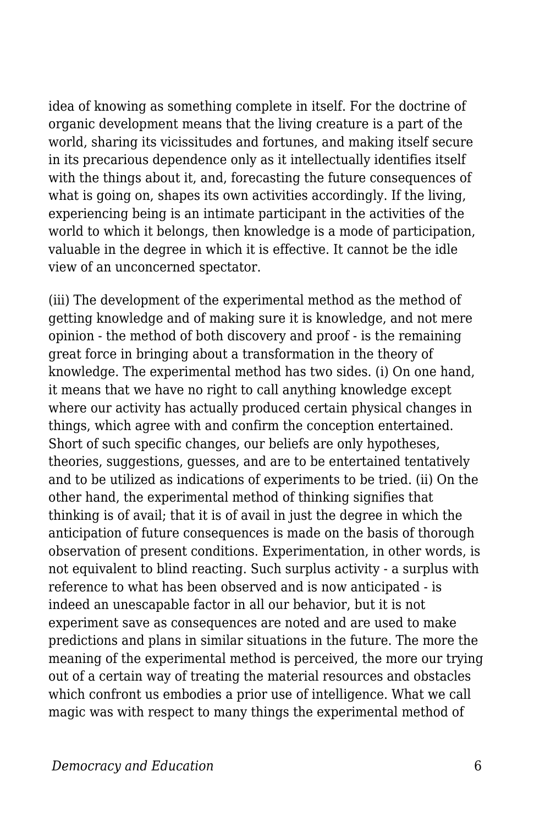idea of knowing as something complete in itself. For the doctrine of organic development means that the living creature is a part of the world, sharing its vicissitudes and fortunes, and making itself secure in its precarious dependence only as it intellectually identifies itself with the things about it, and, forecasting the future consequences of what is going on, shapes its own activities accordingly. If the living, experiencing being is an intimate participant in the activities of the world to which it belongs, then knowledge is a mode of participation, valuable in the degree in which it is effective. It cannot be the idle view of an unconcerned spectator.

(iii) The development of the experimental method as the method of getting knowledge and of making sure it is knowledge, and not mere opinion - the method of both discovery and proof - is the remaining great force in bringing about a transformation in the theory of knowledge. The experimental method has two sides. (i) On one hand, it means that we have no right to call anything knowledge except where our activity has actually produced certain physical changes in things, which agree with and confirm the conception entertained. Short of such specific changes, our beliefs are only hypotheses, theories, suggestions, guesses, and are to be entertained tentatively and to be utilized as indications of experiments to be tried. (ii) On the other hand, the experimental method of thinking signifies that thinking is of avail; that it is of avail in just the degree in which the anticipation of future consequences is made on the basis of thorough observation of present conditions. Experimentation, in other words, is not equivalent to blind reacting. Such surplus activity - a surplus with reference to what has been observed and is now anticipated - is indeed an unescapable factor in all our behavior, but it is not experiment save as consequences are noted and are used to make predictions and plans in similar situations in the future. The more the meaning of the experimental method is perceived, the more our trying out of a certain way of treating the material resources and obstacles which confront us embodies a prior use of intelligence. What we call magic was with respect to many things the experimental method of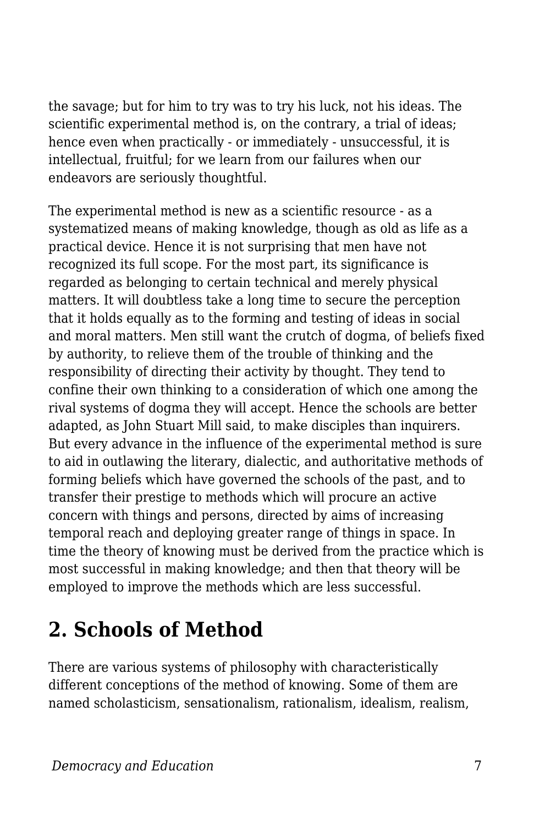the savage; but for him to try was to try his luck, not his ideas. The scientific experimental method is, on the contrary, a trial of ideas; hence even when practically - or immediately - unsuccessful, it is intellectual, fruitful; for we learn from our failures when our endeavors are seriously thoughtful.

The experimental method is new as a scientific resource - as a systematized means of making knowledge, though as old as life as a practical device. Hence it is not surprising that men have not recognized its full scope. For the most part, its significance is regarded as belonging to certain technical and merely physical matters. It will doubtless take a long time to secure the perception that it holds equally as to the forming and testing of ideas in social and moral matters. Men still want the crutch of dogma, of beliefs fixed by authority, to relieve them of the trouble of thinking and the responsibility of directing their activity by thought. They tend to confine their own thinking to a consideration of which one among the rival systems of dogma they will accept. Hence the schools are better adapted, as John Stuart Mill said, to make disciples than inquirers. But every advance in the influence of the experimental method is sure to aid in outlawing the literary, dialectic, and authoritative methods of forming beliefs which have governed the schools of the past, and to transfer their prestige to methods which will procure an active concern with things and persons, directed by aims of increasing temporal reach and deploying greater range of things in space. In time the theory of knowing must be derived from the practice which is most successful in making knowledge; and then that theory will be employed to improve the methods which are less successful.

## **2. Schools of Method**

There are various systems of philosophy with characteristically different conceptions of the method of knowing. Some of them are named scholasticism, sensationalism, rationalism, idealism, realism,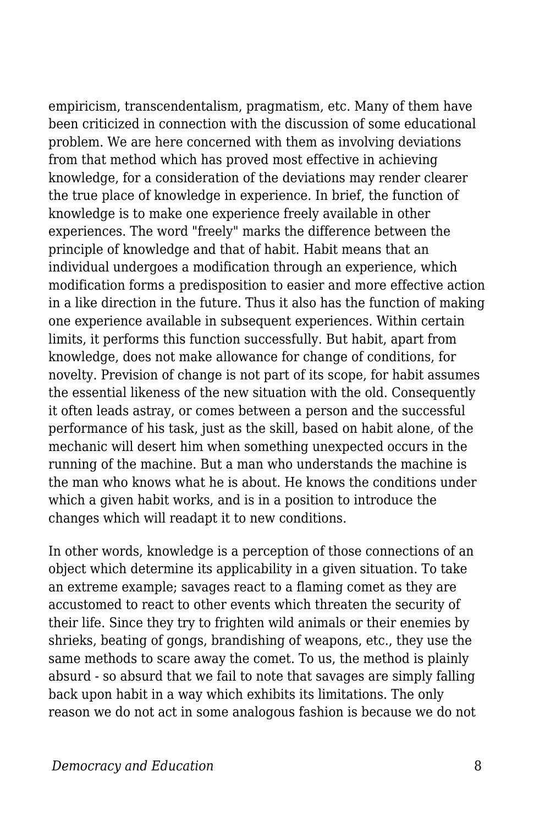empiricism, transcendentalism, pragmatism, etc. Many of them have been criticized in connection with the discussion of some educational problem. We are here concerned with them as involving deviations from that method which has proved most effective in achieving knowledge, for a consideration of the deviations may render clearer the true place of knowledge in experience. In brief, the function of knowledge is to make one experience freely available in other experiences. The word "freely" marks the difference between the principle of knowledge and that of habit. Habit means that an individual undergoes a modification through an experience, which modification forms a predisposition to easier and more effective action in a like direction in the future. Thus it also has the function of making one experience available in subsequent experiences. Within certain limits, it performs this function successfully. But habit, apart from knowledge, does not make allowance for change of conditions, for novelty. Prevision of change is not part of its scope, for habit assumes the essential likeness of the new situation with the old. Consequently it often leads astray, or comes between a person and the successful performance of his task, just as the skill, based on habit alone, of the mechanic will desert him when something unexpected occurs in the running of the machine. But a man who understands the machine is the man who knows what he is about. He knows the conditions under which a given habit works, and is in a position to introduce the changes which will readapt it to new conditions.

In other words, knowledge is a perception of those connections of an object which determine its applicability in a given situation. To take an extreme example; savages react to a flaming comet as they are accustomed to react to other events which threaten the security of their life. Since they try to frighten wild animals or their enemies by shrieks, beating of gongs, brandishing of weapons, etc., they use the same methods to scare away the comet. To us, the method is plainly absurd - so absurd that we fail to note that savages are simply falling back upon habit in a way which exhibits its limitations. The only reason we do not act in some analogous fashion is because we do not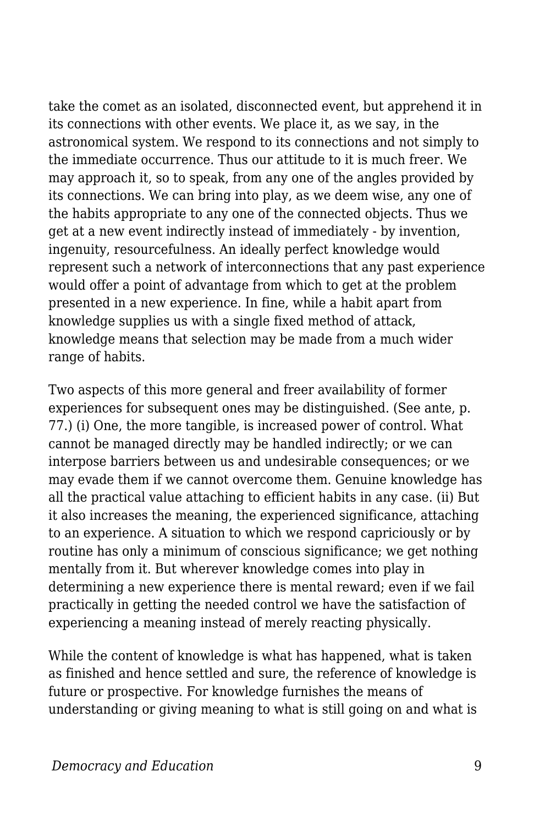take the comet as an isolated, disconnected event, but apprehend it in its connections with other events. We place it, as we say, in the astronomical system. We respond to its connections and not simply to the immediate occurrence. Thus our attitude to it is much freer. We may approach it, so to speak, from any one of the angles provided by its connections. We can bring into play, as we deem wise, any one of the habits appropriate to any one of the connected objects. Thus we get at a new event indirectly instead of immediately - by invention, ingenuity, resourcefulness. An ideally perfect knowledge would represent such a network of interconnections that any past experience would offer a point of advantage from which to get at the problem presented in a new experience. In fine, while a habit apart from knowledge supplies us with a single fixed method of attack, knowledge means that selection may be made from a much wider range of habits.

Two aspects of this more general and freer availability of former experiences for subsequent ones may be distinguished. (See ante, p. 77.) (i) One, the more tangible, is increased power of control. What cannot be managed directly may be handled indirectly; or we can interpose barriers between us and undesirable consequences; or we may evade them if we cannot overcome them. Genuine knowledge has all the practical value attaching to efficient habits in any case. (ii) But it also increases the meaning, the experienced significance, attaching to an experience. A situation to which we respond capriciously or by routine has only a minimum of conscious significance; we get nothing mentally from it. But wherever knowledge comes into play in determining a new experience there is mental reward; even if we fail practically in getting the needed control we have the satisfaction of experiencing a meaning instead of merely reacting physically.

While the content of knowledge is what has happened, what is taken as finished and hence settled and sure, the reference of knowledge is future or prospective. For knowledge furnishes the means of understanding or giving meaning to what is still going on and what is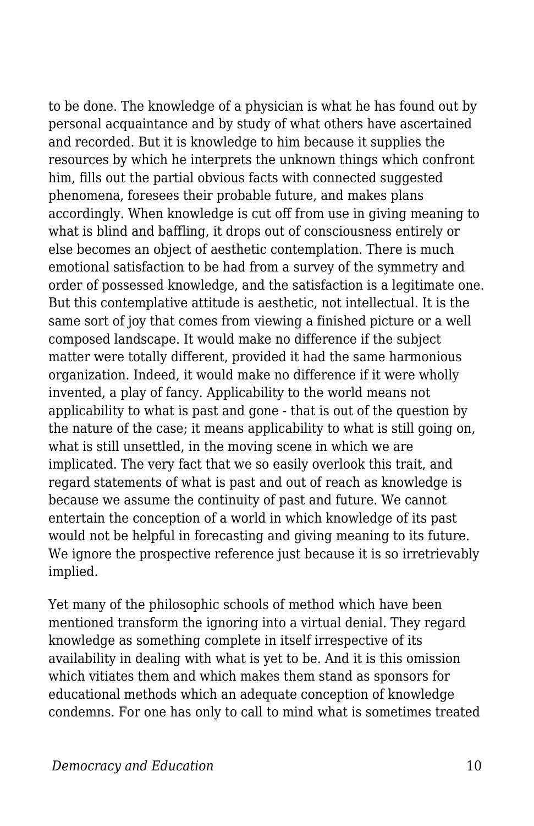to be done. The knowledge of a physician is what he has found out by personal acquaintance and by study of what others have ascertained and recorded. But it is knowledge to him because it supplies the resources by which he interprets the unknown things which confront him, fills out the partial obvious facts with connected suggested phenomena, foresees their probable future, and makes plans accordingly. When knowledge is cut off from use in giving meaning to what is blind and baffling, it drops out of consciousness entirely or else becomes an object of aesthetic contemplation. There is much emotional satisfaction to be had from a survey of the symmetry and order of possessed knowledge, and the satisfaction is a legitimate one. But this contemplative attitude is aesthetic, not intellectual. It is the same sort of joy that comes from viewing a finished picture or a well composed landscape. It would make no difference if the subject matter were totally different, provided it had the same harmonious organization. Indeed, it would make no difference if it were wholly invented, a play of fancy. Applicability to the world means not applicability to what is past and gone - that is out of the question by the nature of the case; it means applicability to what is still going on, what is still unsettled, in the moving scene in which we are implicated. The very fact that we so easily overlook this trait, and regard statements of what is past and out of reach as knowledge is because we assume the continuity of past and future. We cannot entertain the conception of a world in which knowledge of its past would not be helpful in forecasting and giving meaning to its future. We ignore the prospective reference just because it is so irretrievably implied.

Yet many of the philosophic schools of method which have been mentioned transform the ignoring into a virtual denial. They regard knowledge as something complete in itself irrespective of its availability in dealing with what is yet to be. And it is this omission which vitiates them and which makes them stand as sponsors for educational methods which an adequate conception of knowledge condemns. For one has only to call to mind what is sometimes treated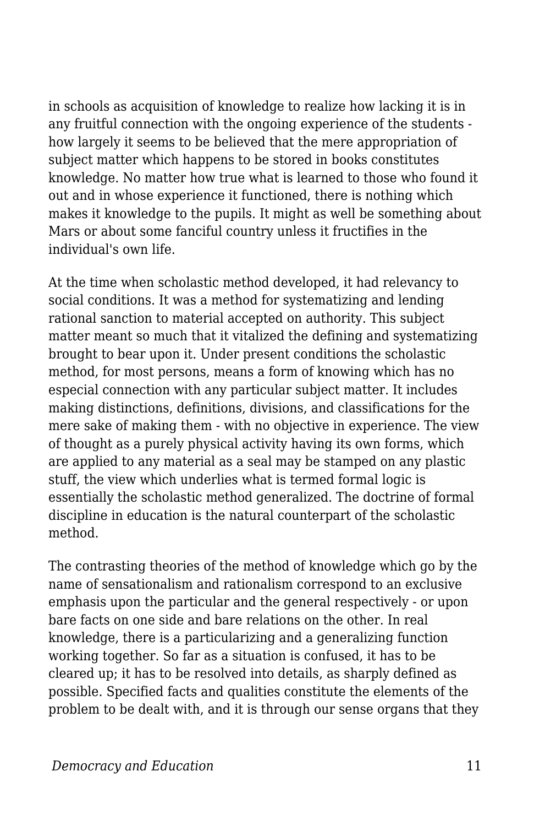in schools as acquisition of knowledge to realize how lacking it is in any fruitful connection with the ongoing experience of the students how largely it seems to be believed that the mere appropriation of subject matter which happens to be stored in books constitutes knowledge. No matter how true what is learned to those who found it out and in whose experience it functioned, there is nothing which makes it knowledge to the pupils. It might as well be something about Mars or about some fanciful country unless it fructifies in the individual's own life.

At the time when scholastic method developed, it had relevancy to social conditions. It was a method for systematizing and lending rational sanction to material accepted on authority. This subject matter meant so much that it vitalized the defining and systematizing brought to bear upon it. Under present conditions the scholastic method, for most persons, means a form of knowing which has no especial connection with any particular subject matter. It includes making distinctions, definitions, divisions, and classifications for the mere sake of making them - with no objective in experience. The view of thought as a purely physical activity having its own forms, which are applied to any material as a seal may be stamped on any plastic stuff, the view which underlies what is termed formal logic is essentially the scholastic method generalized. The doctrine of formal discipline in education is the natural counterpart of the scholastic method.

The contrasting theories of the method of knowledge which go by the name of sensationalism and rationalism correspond to an exclusive emphasis upon the particular and the general respectively - or upon bare facts on one side and bare relations on the other. In real knowledge, there is a particularizing and a generalizing function working together. So far as a situation is confused, it has to be cleared up; it has to be resolved into details, as sharply defined as possible. Specified facts and qualities constitute the elements of the problem to be dealt with, and it is through our sense organs that they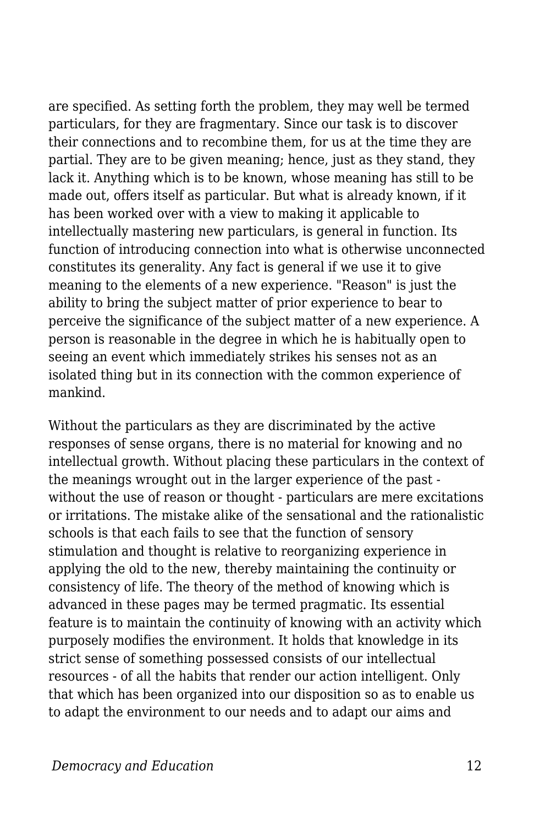are specified. As setting forth the problem, they may well be termed particulars, for they are fragmentary. Since our task is to discover their connections and to recombine them, for us at the time they are partial. They are to be given meaning; hence, just as they stand, they lack it. Anything which is to be known, whose meaning has still to be made out, offers itself as particular. But what is already known, if it has been worked over with a view to making it applicable to intellectually mastering new particulars, is general in function. Its function of introducing connection into what is otherwise unconnected constitutes its generality. Any fact is general if we use it to give meaning to the elements of a new experience. "Reason" is just the ability to bring the subject matter of prior experience to bear to perceive the significance of the subject matter of a new experience. A person is reasonable in the degree in which he is habitually open to seeing an event which immediately strikes his senses not as an isolated thing but in its connection with the common experience of mankind.

Without the particulars as they are discriminated by the active responses of sense organs, there is no material for knowing and no intellectual growth. Without placing these particulars in the context of the meanings wrought out in the larger experience of the past without the use of reason or thought - particulars are mere excitations or irritations. The mistake alike of the sensational and the rationalistic schools is that each fails to see that the function of sensory stimulation and thought is relative to reorganizing experience in applying the old to the new, thereby maintaining the continuity or consistency of life. The theory of the method of knowing which is advanced in these pages may be termed pragmatic. Its essential feature is to maintain the continuity of knowing with an activity which purposely modifies the environment. It holds that knowledge in its strict sense of something possessed consists of our intellectual resources - of all the habits that render our action intelligent. Only that which has been organized into our disposition so as to enable us to adapt the environment to our needs and to adapt our aims and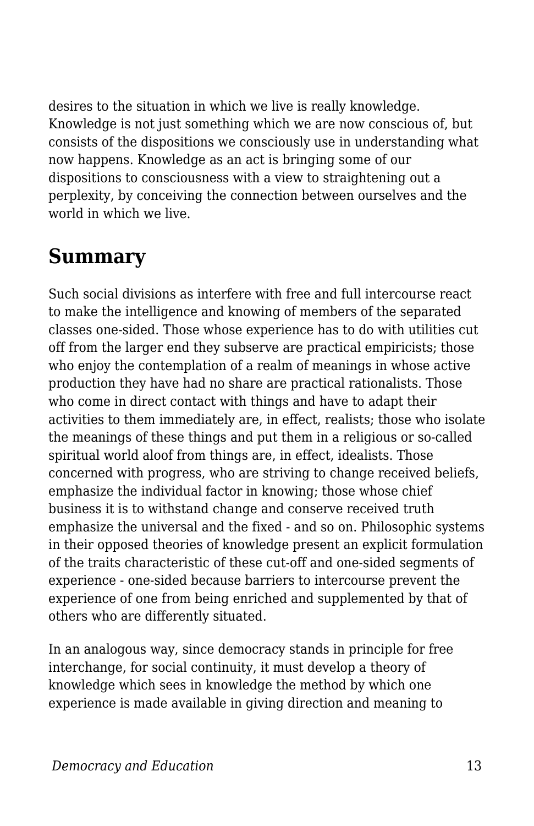desires to the situation in which we live is really knowledge. Knowledge is not just something which we are now conscious of, but consists of the dispositions we consciously use in understanding what now happens. Knowledge as an act is bringing some of our dispositions to consciousness with a view to straightening out a perplexity, by conceiving the connection between ourselves and the world in which we live.

## **Summary**

Such social divisions as interfere with free and full intercourse react to make the intelligence and knowing of members of the separated classes one-sided. Those whose experience has to do with utilities cut off from the larger end they subserve are practical empiricists; those who enjoy the contemplation of a realm of meanings in whose active production they have had no share are practical rationalists. Those who come in direct contact with things and have to adapt their activities to them immediately are, in effect, realists; those who isolate the meanings of these things and put them in a religious or so-called spiritual world aloof from things are, in effect, idealists. Those concerned with progress, who are striving to change received beliefs, emphasize the individual factor in knowing; those whose chief business it is to withstand change and conserve received truth emphasize the universal and the fixed - and so on. Philosophic systems in their opposed theories of knowledge present an explicit formulation of the traits characteristic of these cut-off and one-sided segments of experience - one-sided because barriers to intercourse prevent the experience of one from being enriched and supplemented by that of others who are differently situated.

In an analogous way, since democracy stands in principle for free interchange, for social continuity, it must develop a theory of knowledge which sees in knowledge the method by which one experience is made available in giving direction and meaning to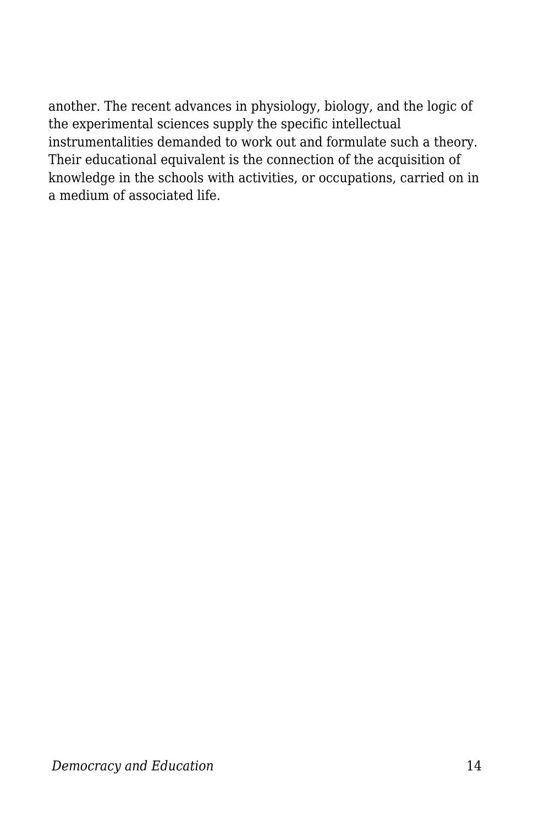another. The recent advances in physiology, biology, and the logic of the experimental sciences supply the specific intellectual instrumentalities demanded to work out and formulate such a theory. Their educational equivalent is the connection of the acquisition of knowledge in the schools with activities, or occupations, carried on in a medium of associated life.